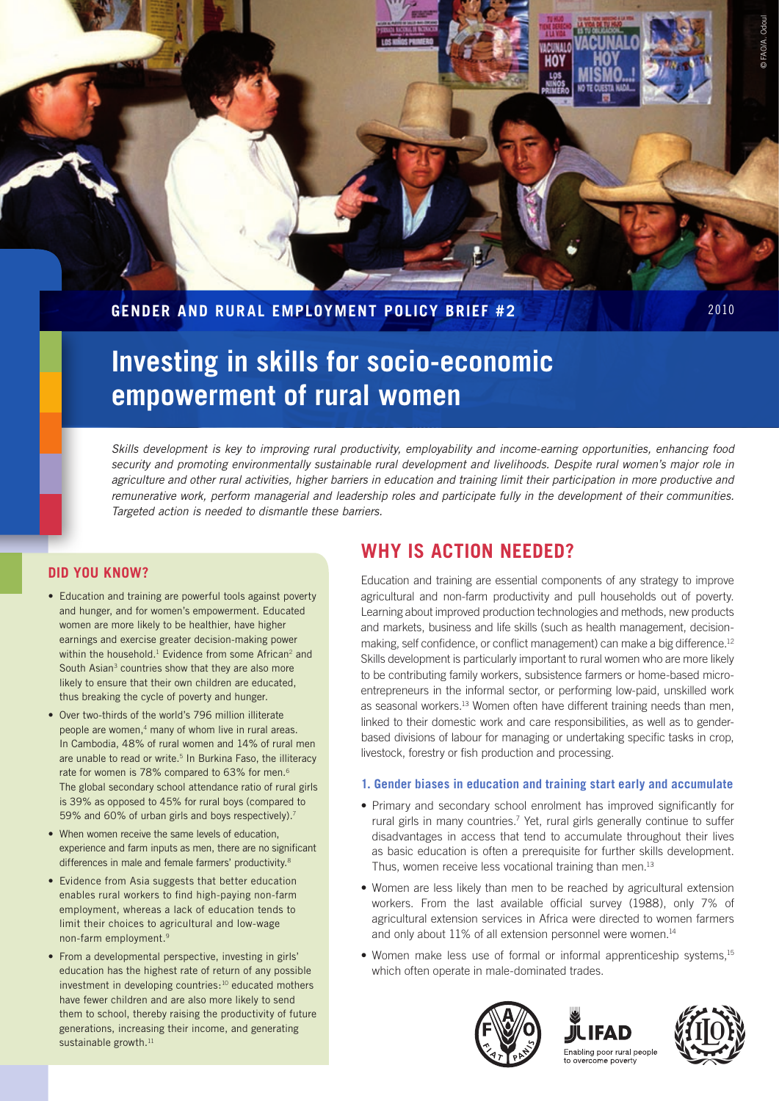**Gender and Rural Employment Policy Brief #2**

# **Investing in skills for socio-economic empowerment of rural women**

*Skills development is key to improving rural productivity, employability and income-earning opportunities, enhancing food security and promoting environmentally sustainable rural development and livelihoods. Despite rural women's major role in agriculture and other rural activities, higher barriers in education and training limit their participation in more productive and remunerative work, perform managerial and leadership roles and participate fully in the development of their communities. Targeted action is needed to dismantle these barriers.* 

### **Did you know?**

- Education and training are powerful tools against poverty and hunger, and for women's empowerment. Educated women are more likely to be healthier, have higher earnings and exercise greater decision-making power within the household.<sup>1</sup> Evidence from some African<sup>2</sup> and South Asian<sup>3</sup> countries show that they are also more likely to ensure that their own children are educated, thus breaking the cycle of poverty and hunger.
- Over two-thirds of the world's 796 million illiterate people are women,<sup>4</sup> many of whom live in rural areas. In Cambodia, 48% of rural women and 14% of rural men are unable to read or write.<sup>5</sup> In Burkina Faso, the illiteracy rate for women is 78% compared to 63% for men.<sup>6</sup> The global secondary school attendance ratio of rural girls is 39% as opposed to 45% for rural boys (compared to 59% and 60% of urban girls and boys respectively).<sup>7</sup>
- When women receive the same levels of education, experience and farm inputs as men, there are no significant differences in male and female farmers' productivity.<sup>8</sup>
- Evidence from Asia suggests that better education enables rural workers to find high-paying non-farm employment, whereas a lack of education tends to limit their choices to agricultural and low-wage non-farm employment.<sup>9</sup>
- From a developmental perspective, investing in girls' education has the highest rate of return of any possible investment in developing countries:<sup>10</sup> educated mothers have fewer children and are also more likely to send them to school, thereby raising the productivity of future generations, increasing their income, and generating sustainable growth.<sup>11</sup>

## **Why is action needed?**

Education and training are essential components of any strategy to improve agricultural and non-farm productivity and pull households out of poverty. Learning about improved production technologies and methods, new products and markets, business and life skills (such as health management, decisionmaking, self confidence, or conflict management) can make a big difference.<sup>12</sup> Skills development is particularly important to rural women who are more likely to be contributing family workers, subsistence farmers or home-based microentrepreneurs in the informal sector, or performing low-paid, unskilled work as seasonal workers.<sup>13</sup> Women often have different training needs than men, linked to their domestic work and care responsibilities, as well as to genderbased divisions of labour for managing or undertaking specific tasks in crop, livestock, forestry or fish production and processing.

#### **1. Gender biases in education and training start early and accumulate**

- Primary and secondary school enrolment has improved significantly for rural girls in many countries.<sup>7</sup> Yet, rural girls generally continue to suffer disadvantages in access that tend to accumulate throughout their lives as basic education is often a prerequisite for further skills development. Thus, women receive less vocational training than men.<sup>13</sup>
- Women are less likely than men to be reached by agricultural extension workers. From the last available official survey (1988), only 7% of agricultural extension services in Africa were directed to women farmers and only about 11% of all extension personnel were women.<sup>14</sup>
- Women make less use of formal or informal apprenticeship systems,<sup>15</sup> which often operate in male-dominated trades.







© FAO/A. Odoul

**D** FAO/A. Odoul

2010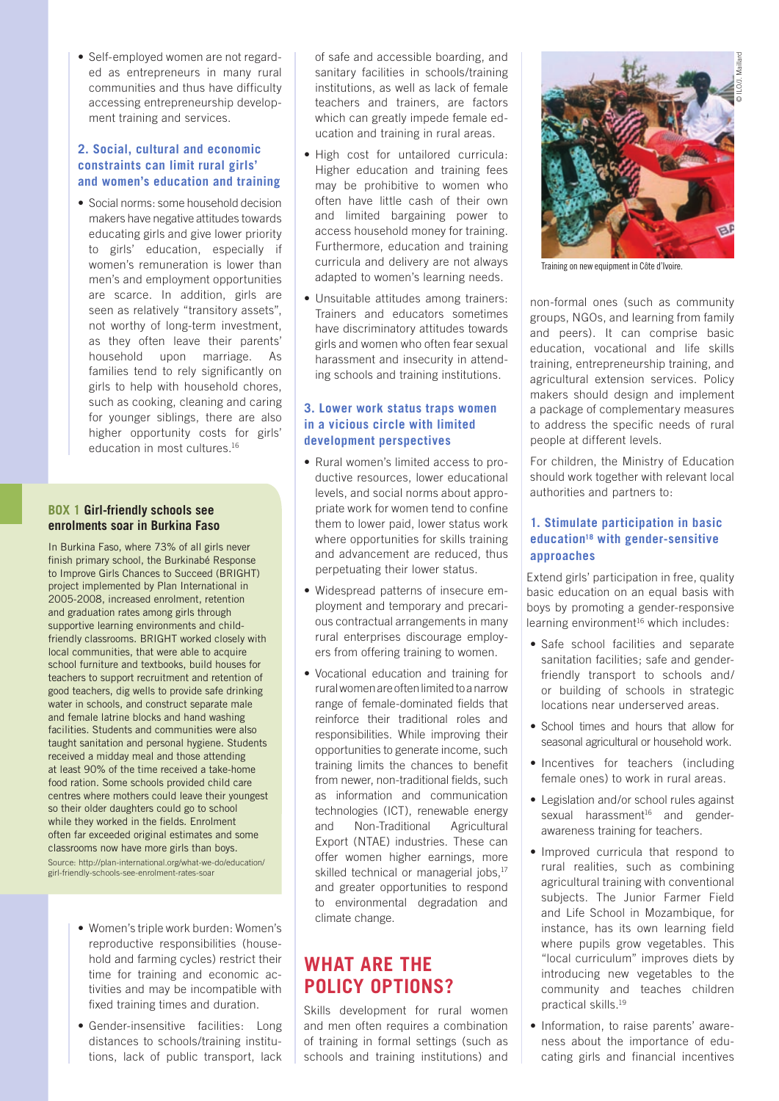• Self-employed women are not regarded as entrepreneurs in many rural communities and thus have difficulty accessing entrepreneurship development training and services.

#### **2. Social, cultural and economic constraints can limit rural girls' and women's education and training**

• Social norms: some household decision makers have negative attitudes towards educating girls and give lower priority to girls' education, especially if women's remuneration is lower than men's and employment opportunities are scarce. In addition, girls are seen as relatively "transitory assets", not worthy of long-term investment, as they often leave their parents' household upon marriage. As families tend to rely significantly on girls to help with household chores, such as cooking, cleaning and caring for younger siblings, there are also higher opportunity costs for girls' education in most cultures.<sup>16</sup>

#### **Box 1 Girl-friendly schools see enrolments soar in Burkina Faso**

In Burkina Faso, where 73% of all girls never finish primary school, the Burkinabé Response to Improve Girls Chances to Succeed (BRIGHT) project implemented by Plan International in 2005-2008, increased enrolment, retention and graduation rates among girls through supportive learning environments and childfriendly classrooms. BRIGHT worked closely with local communities, that were able to acquire school furniture and textbooks, build houses for teachers to support recruitment and retention of good teachers, dig wells to provide safe drinking water in schools, and construct separate male and female latrine blocks and hand washing facilities. Students and communities were also taught sanitation and personal hygiene. Students received a midday meal and those attending at least 90% of the time received a take-home food ration. Some schools provided child care centres where mothers could leave their youngest so their older daughters could go to school while they worked in the fields. Enrolment often far exceeded original estimates and some classrooms now have more girls than boys. Source: http://plan-international.org/what-we-do/education/ girl-friendly-schools-see-enrolment-rates-soar

- • Women's triple work burden: Women's reproductive responsibilities (household and farming cycles) restrict their time for training and economic activities and may be incompatible with fixed training times and duration.
- Gender-insensitive facilities: Long distances to schools/training institutions, lack of public transport, lack

of safe and accessible boarding, and sanitary facilities in schools/training institutions, as well as lack of female teachers and trainers, are factors which can greatly impede female education and training in rural areas.

- High cost for untailored curricula: Higher education and training fees may be prohibitive to women who often have little cash of their own and limited bargaining power to access household money for training. Furthermore, education and training curricula and delivery are not always adapted to women's learning needs.
- Unsuitable attitudes among trainers: Trainers and educators sometimes have discriminatory attitudes towards girls and women who often fear sexual harassment and insecurity in attending schools and training institutions.

#### **3. Lower work status traps women in a vicious circle with limited development perspectives**

- Rural women's limited access to productive resources, lower educational levels, and social norms about appropriate work for women tend to confine them to lower paid, lower status work where opportunities for skills training and advancement are reduced, thus perpetuating their lower status.
- • Widespread patterns of insecure employment and temporary and precarious contractual arrangements in many rural enterprises discourage employers from offering training to women.
- • Vocational education and training for rural women are often limited to a narrow range of female-dominated fields that reinforce their traditional roles and responsibilities. While improving their opportunities to generate income, such training limits the chances to benefit from newer, non-traditional fields, such as information and communication technologies (ICT), renewable energy and Non-Traditional Agricultural Export (NTAE) industries. These can offer women higher earnings, more skilled technical or managerial jobs,<sup>17</sup> and greater opportunities to respond to environmental degradation and climate change.

## **What are the policy options?**

Skills development for rural women and men often requires a combination of training in formal settings (such as schools and training institutions) and



Training on new equipment in Côte d'Ivoire.

non-formal ones (such as community groups, NGOs, and learning from family and peers). It can comprise basic education, vocational and life skills training, entrepreneurship training, and agricultural extension services. Policy makers should design and implement a package of complementary measures to address the specific needs of rural people at different levels.

For children, the Ministry of Education should work together with relevant local authorities and partners to:

#### **1. Stimulate participation in basic education18 with gender-sensitive approaches**

Extend girls' participation in free, quality basic education on an equal basis with boys by promoting a gender-responsive learning environment<sup>16</sup> which includes:

- Safe school facilities and separate sanitation facilities; safe and genderfriendly transport to schools and/ or building of schools in strategic locations near underserved areas.
- School times and hours that allow for seasonal agricultural or household work.
- Incentives for teachers (including female ones) to work in rural areas.
- Legislation and/or school rules against sexual harassment<sup>16</sup> and genderawareness training for teachers.
- Improved curricula that respond to rural realities, such as combining agricultural training with conventional subjects. The Junior Farmer Field and Life School in Mozambique, for instance, has its own learning field where pupils grow vegetables. This "local curriculum" improves diets by introducing new vegetables to the community and teaches children practical skills.<sup>19</sup>
- Information, to raise parents' awareness about the importance of educating girls and financial incentives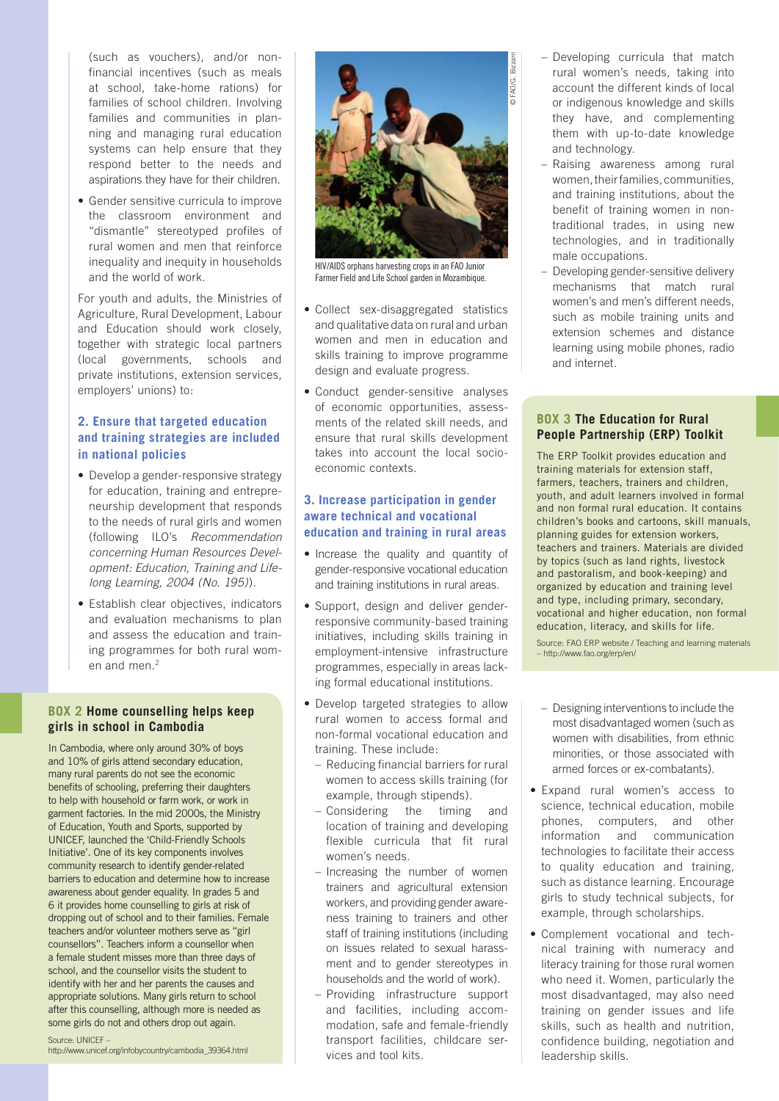(such as vouchers), and/or nonfinancial incentives (such as meals at school, take-home rations) for families of school children. Involving families and communities in planning and managing rural education systems can help ensure that they respond better to the needs and aspirations they have for their children.

• Gender sensitive curricula to improve the classroom environment and "dismantle" stereotyped profiles of rural women and men that reinforce inequality and inequity in households and the world of work.

For youth and adults, the Ministries of Agriculture, Rural Development, Labour and Education should work closely, together with strategic local partners (local governments, schools and private institutions, extension services, employers' unions) to:

#### **2. Ensure that targeted education and training strategies are included in national policies**

- Develop a gender-responsive strategy for education, training and entrepreneurship development that responds to the needs of rural girls and women (following ILO's *Recommendation concerning Human Resources Development: Education, Training and Lifelong Learning, 2004 (No. 195)*).
- Establish clear objectives, indicators and evaluation mechanisms to plan and assess the education and training programmes for both rural women and men.<sup>2</sup>

#### **Box 2 Home counselling helps keep girls in school in Cambodia**

In Cambodia, where only around 30% of boys and 10% of girls attend secondary education, many rural parents do not see the economic benefits of schooling, preferring their daughters to help with household or farm work, or work in garment factories. In the mid 2000s, the Ministry of Education, Youth and Sports, supported by UNICEF, launched the 'Child-Friendly Schools Initiative'. One of its key components involves community research to identify gender-related barriers to education and determine how to increase awareness about gender equality. In grades 5 and 6 it provides home counselling to girls at risk of dropping out of school and to their families. Female teachers and/or volunteer mothers serve as "girl counsellors". Teachers inform a counsellor when a female student misses more than three days of school, and the counsellor visits the student to identify with her and her parents the causes and appropriate solutions. Many girls return to school after this counselling, although more is needed as some girls do not and others drop out again.

#### Source: UNICEF –

http://www.unicef.org/infobycountry/cambodia\_39364.html



HIV/AIDS orphans harvesting crops in an FAO Junior Farmer Field and Life School garden in Mozambique.

- • Collect sex-disaggregated statistics and qualitative data on rural and urban women and men in education and skills training to improve programme design and evaluate progress.
- Conduct gender-sensitive analyses of economic opportunities, assessments of the related skill needs, and ensure that rural skills development takes into account the local socioeconomic contexts.

#### **3. Increase participation in gender aware technical and vocational education and training in rural areas**

- Increase the quality and quantity of gender-responsive vocational education and training institutions in rural areas.
- Support, design and deliver genderresponsive community-based training initiatives, including skills training in employment-intensive infrastructure programmes, especially in areas lacking formal educational institutions.
- Develop targeted strategies to allow rural women to access formal and non-formal vocational education and training. These include:
	- Reducing financial barriers for rural women to access skills training (for example, through stipends).
- Considering the timing and location of training and developing flexible curricula that fit rural women's needs.
- Increasing the number of women trainers and agricultural extension workers, and providing gender awareness training to trainers and other staff of training institutions (including on issues related to sexual harassment and to gender stereotypes in households and the world of work).
- Providing infrastructure support and facilities, including accommodation, safe and female-friendly transport facilities, childcare services and tool kits.
- Developing curricula that match rural women's needs, taking into account the different kinds of local or indigenous knowledge and skills they have, and complementing them with up-to-date knowledge and technology.
- Raising awareness among rural women, their families, communities, and training institutions, about the benefit of training women in nontraditional trades, in using new technologies, and in traditionally male occupations.
- Developing gender-sensitive delivery mechanisms that match rural women's and men's different needs, such as mobile training units and extension schemes and distance learning using mobile phones, radio and internet.

#### **Box 3 The Education for Rural People Partnership (ERP) Toolkit**

The ERP Toolkit provides education and training materials for extension staff, farmers, teachers, trainers and children, youth, and adult learners involved in formal and non formal rural education. It contains children's books and cartoons, skill manuals, planning guides for extension workers, teachers and trainers. Materials are divided by topics (such as land rights, livestock and pastoralism, and book-keeping) and organized by education and training level and type, including primary, secondary, vocational and higher education, non formal education, literacy, and skills for life. Source: FAO ERP website / Teaching and learning materials

– http://www.fao.org/erp/en/

- Designing interventions to include the most disadvantaged women (such as women with disabilities, from ethnic minorities, or those associated with armed forces or ex-combatants).
- Expand rural women's access to science, technical education, mobile phones, computers, and other information and communication technologies to facilitate their access to quality education and training, such as distance learning. Encourage girls to study technical subjects, for example, through scholarships.
- • Complement vocational and technical training with numeracy and literacy training for those rural women who need it. Women, particularly the most disadvantaged, may also need training on gender issues and life skills, such as health and nutrition, confidence building, negotiation and leadership skills.